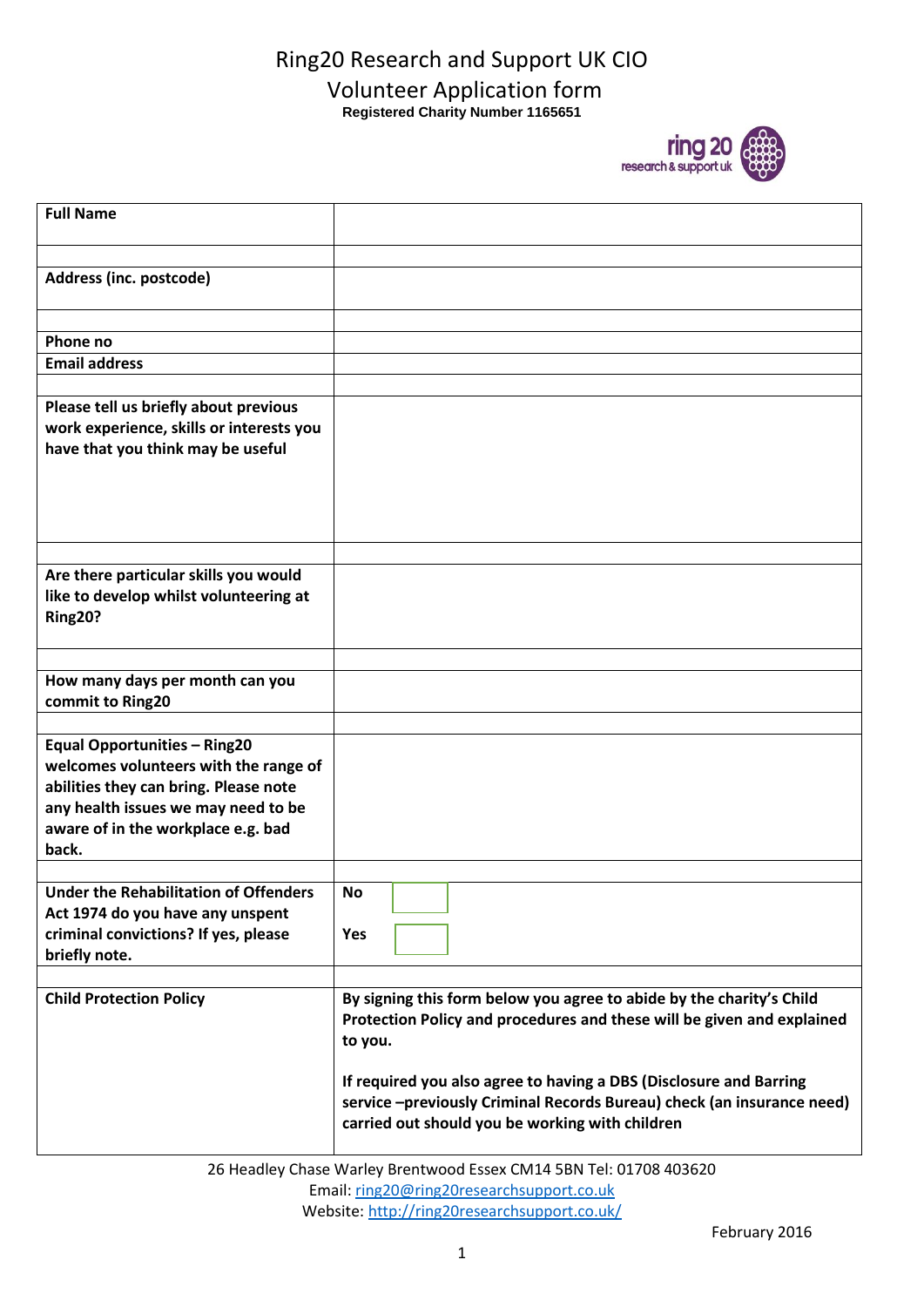## Ring20 Research and Support UK CIO Volunteer Application form **Registered Charity Number 1165651**



| <b>Full Name</b><br>Address (inc. postcode)<br>Phone no<br><b>Email address</b><br>Please tell us briefly about previous<br>work experience, skills or interests you<br>have that you think may be useful<br>Are there particular skills you would<br>like to develop whilst volunteering at<br>Ring20?<br>How many days per month can you<br>commit to Ring20<br><b>Equal Opportunities - Ring20</b><br>welcomes volunteers with the range of<br>abilities they can bring. Please note<br>any health issues we may need to be<br>aware of in the workplace e.g. bad<br>back.<br><b>Under the Rehabilitation of Offenders</b><br><b>No</b><br>Act 1974 do you have any unspent<br>criminal convictions? If yes, please<br>Yes<br>briefly note.<br><b>Child Protection Policy</b><br>By signing this form below you agree to abide by the charity's Child<br>Protection Policy and procedures and these will be given and explained<br>to you.<br>If required you also agree to having a DBS (Disclosure and Barring<br>service-previously Criminal Records Bureau) check (an insurance need)<br>carried out should you be working with children |  |
|-------------------------------------------------------------------------------------------------------------------------------------------------------------------------------------------------------------------------------------------------------------------------------------------------------------------------------------------------------------------------------------------------------------------------------------------------------------------------------------------------------------------------------------------------------------------------------------------------------------------------------------------------------------------------------------------------------------------------------------------------------------------------------------------------------------------------------------------------------------------------------------------------------------------------------------------------------------------------------------------------------------------------------------------------------------------------------------------------------------------------------------------------|--|
|                                                                                                                                                                                                                                                                                                                                                                                                                                                                                                                                                                                                                                                                                                                                                                                                                                                                                                                                                                                                                                                                                                                                                 |  |
|                                                                                                                                                                                                                                                                                                                                                                                                                                                                                                                                                                                                                                                                                                                                                                                                                                                                                                                                                                                                                                                                                                                                                 |  |
|                                                                                                                                                                                                                                                                                                                                                                                                                                                                                                                                                                                                                                                                                                                                                                                                                                                                                                                                                                                                                                                                                                                                                 |  |
|                                                                                                                                                                                                                                                                                                                                                                                                                                                                                                                                                                                                                                                                                                                                                                                                                                                                                                                                                                                                                                                                                                                                                 |  |
|                                                                                                                                                                                                                                                                                                                                                                                                                                                                                                                                                                                                                                                                                                                                                                                                                                                                                                                                                                                                                                                                                                                                                 |  |
|                                                                                                                                                                                                                                                                                                                                                                                                                                                                                                                                                                                                                                                                                                                                                                                                                                                                                                                                                                                                                                                                                                                                                 |  |
|                                                                                                                                                                                                                                                                                                                                                                                                                                                                                                                                                                                                                                                                                                                                                                                                                                                                                                                                                                                                                                                                                                                                                 |  |
|                                                                                                                                                                                                                                                                                                                                                                                                                                                                                                                                                                                                                                                                                                                                                                                                                                                                                                                                                                                                                                                                                                                                                 |  |
|                                                                                                                                                                                                                                                                                                                                                                                                                                                                                                                                                                                                                                                                                                                                                                                                                                                                                                                                                                                                                                                                                                                                                 |  |
|                                                                                                                                                                                                                                                                                                                                                                                                                                                                                                                                                                                                                                                                                                                                                                                                                                                                                                                                                                                                                                                                                                                                                 |  |
|                                                                                                                                                                                                                                                                                                                                                                                                                                                                                                                                                                                                                                                                                                                                                                                                                                                                                                                                                                                                                                                                                                                                                 |  |
|                                                                                                                                                                                                                                                                                                                                                                                                                                                                                                                                                                                                                                                                                                                                                                                                                                                                                                                                                                                                                                                                                                                                                 |  |
|                                                                                                                                                                                                                                                                                                                                                                                                                                                                                                                                                                                                                                                                                                                                                                                                                                                                                                                                                                                                                                                                                                                                                 |  |
|                                                                                                                                                                                                                                                                                                                                                                                                                                                                                                                                                                                                                                                                                                                                                                                                                                                                                                                                                                                                                                                                                                                                                 |  |
|                                                                                                                                                                                                                                                                                                                                                                                                                                                                                                                                                                                                                                                                                                                                                                                                                                                                                                                                                                                                                                                                                                                                                 |  |
|                                                                                                                                                                                                                                                                                                                                                                                                                                                                                                                                                                                                                                                                                                                                                                                                                                                                                                                                                                                                                                                                                                                                                 |  |
|                                                                                                                                                                                                                                                                                                                                                                                                                                                                                                                                                                                                                                                                                                                                                                                                                                                                                                                                                                                                                                                                                                                                                 |  |
|                                                                                                                                                                                                                                                                                                                                                                                                                                                                                                                                                                                                                                                                                                                                                                                                                                                                                                                                                                                                                                                                                                                                                 |  |
|                                                                                                                                                                                                                                                                                                                                                                                                                                                                                                                                                                                                                                                                                                                                                                                                                                                                                                                                                                                                                                                                                                                                                 |  |
|                                                                                                                                                                                                                                                                                                                                                                                                                                                                                                                                                                                                                                                                                                                                                                                                                                                                                                                                                                                                                                                                                                                                                 |  |
|                                                                                                                                                                                                                                                                                                                                                                                                                                                                                                                                                                                                                                                                                                                                                                                                                                                                                                                                                                                                                                                                                                                                                 |  |
|                                                                                                                                                                                                                                                                                                                                                                                                                                                                                                                                                                                                                                                                                                                                                                                                                                                                                                                                                                                                                                                                                                                                                 |  |
|                                                                                                                                                                                                                                                                                                                                                                                                                                                                                                                                                                                                                                                                                                                                                                                                                                                                                                                                                                                                                                                                                                                                                 |  |
|                                                                                                                                                                                                                                                                                                                                                                                                                                                                                                                                                                                                                                                                                                                                                                                                                                                                                                                                                                                                                                                                                                                                                 |  |
|                                                                                                                                                                                                                                                                                                                                                                                                                                                                                                                                                                                                                                                                                                                                                                                                                                                                                                                                                                                                                                                                                                                                                 |  |
|                                                                                                                                                                                                                                                                                                                                                                                                                                                                                                                                                                                                                                                                                                                                                                                                                                                                                                                                                                                                                                                                                                                                                 |  |
|                                                                                                                                                                                                                                                                                                                                                                                                                                                                                                                                                                                                                                                                                                                                                                                                                                                                                                                                                                                                                                                                                                                                                 |  |

26 Headley Chase Warley Brentwood Essex CM14 5BN Tel: 01708 403620 Email: [ring20@ring20researchsupport.co.uk](mailto:ring20@ring20researchsupport.co.uk) Website:<http://ring20researchsupport.co.uk/>